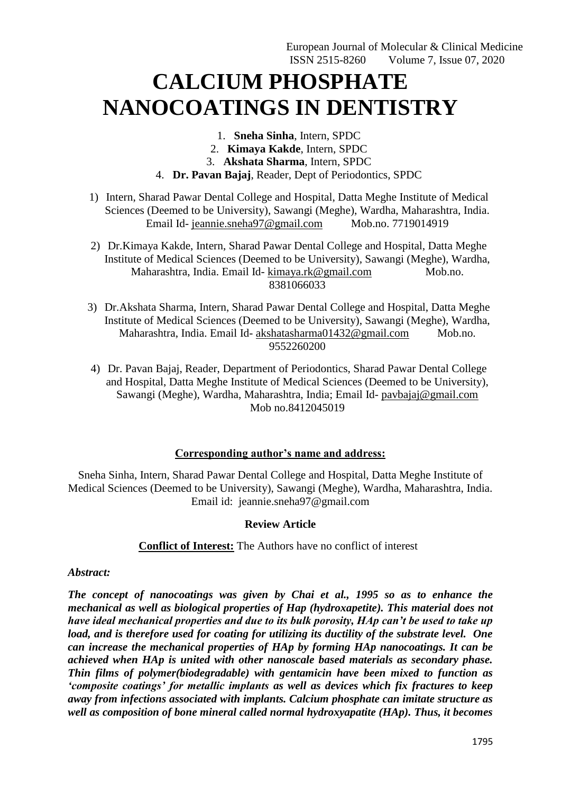# **CALCIUM PHOSPHATE NANOCOATINGS IN DENTISTRY**

- 1. **Sneha Sinha**, Intern, SPDC
- 2. **Kimaya Kakde**, Intern, SPDC
- 3. **Akshata Sharma**, Intern, SPDC
- 4. **Dr. Pavan Bajaj**, Reader, Dept of Periodontics, SPDC
- 1) Intern, Sharad Pawar Dental College and Hospital, Datta Meghe Institute of Medical Sciences (Deemed to be University), Sawangi (Meghe), Wardha, Maharashtra, India. Email Id- [jeannie.sneha97@gmail.com](mailto:jeannie.sneha97@gmail.com) Mob.no. 7719014919
- 2) Dr.Kimaya Kakde, Intern, Sharad Pawar Dental College and Hospital, Datta Meghe Institute of Medical Sciences (Deemed to be University), Sawangi (Meghe), Wardha, Maharashtra, India. Email Id- [kimaya.rk@gmail.com](mailto:kimaya.rk@gmail.com) Mob.no. 8381066033
- 3) Dr.Akshata Sharma, Intern, Sharad Pawar Dental College and Hospital, Datta Meghe Institute of Medical Sciences (Deemed to be University), Sawangi (Meghe), Wardha, Maharashtra, India. Email Id- [akshatasharma01432@gmail.com](mailto:akshatasharma01432@gmail.com) Mob.no. 9552260200
- 4) Dr. Pavan Bajaj, Reader, Department of Periodontics, Sharad Pawar Dental College and Hospital, Datta Meghe Institute of Medical Sciences (Deemed to be University), Sawangi (Meghe), Wardha, Maharashtra, India; Email Id- [pavbajaj@gmail.com](mailto:pavbajaj@gmail.com)  Mob no.8412045019

# **Corresponding author's name and address:**

Sneha Sinha, Intern, Sharad Pawar Dental College and Hospital, Datta Meghe Institute of Medical Sciences (Deemed to be University), Sawangi (Meghe), Wardha, Maharashtra, India. Email id: [jeannie.sneha97@gmail.com](mailto:jeannie.sneha97@gmail.com)

# **Review Article**

# **Conflict of Interest:** The Authors have no conflict of interest

# *Abstract:*

*The concept of nanocoatings was given by Chai et al., 1995 so as to enhance the mechanical as well as biological properties of Hap (hydroxapetite). This material does not have ideal mechanical properties and due to its bulk porosity, HAp can't be used to take up load, and is therefore used for coating for utilizing its ductility of the substrate level. One can increase the mechanical properties of HAp by forming HAp nanocoatings. It can be achieved when HAp is united with other nanoscale based materials as secondary phase. Thin films of polymer(biodegradable) with gentamicin have been mixed to function as 'composite coatings' for metallic implants as well as devices which fix fractures to keep away from infections associated with implants. Calcium phosphate can imitate structure as well as composition of bone mineral called normal hydroxyapatite (HAp). Thus, it becomes*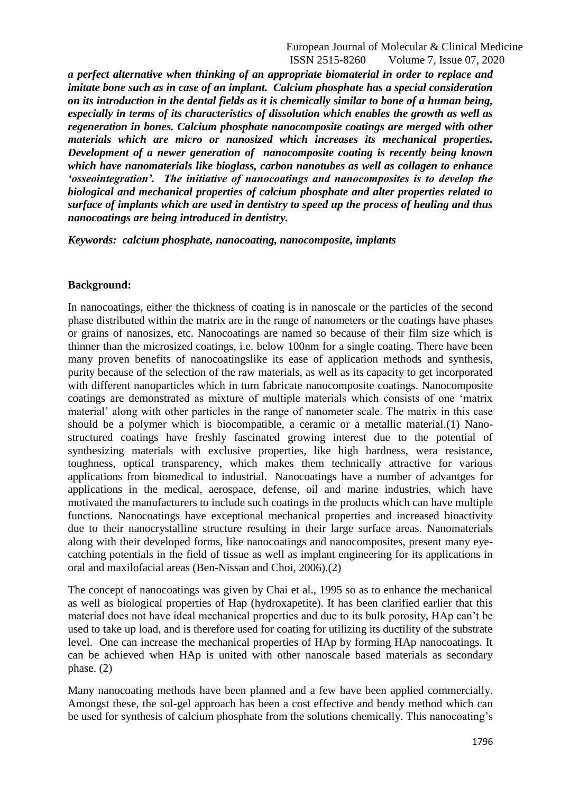*a perfect alternative when thinking of an appropriate biomaterial in order to replace and imitate bone such as in case of an implant. Calcium phosphate has a special consideration on its introduction in the dental fields as it is chemically similar to bone of a human being, especially in terms of its characteristics of dissolution which enables the growth as well as regeneration in bones. Calcium phosphate nanocomposite coatings are merged with other materials which are micro or nanosized which increases its mechanical properties. Development of a newer generation of nanocomposite coating is recently being known which have nanomaterials like bioglass, carbon nanotubes as well as collagen to enhance 'osseointegration'. The initiative of nanocoatings and nanocomposites is to develop the biological and mechanical properties of calcium phosphate and alter properties related to surface of implants which are used in dentistry to speed up the process of healing and thus nanocoatings are being introduced in dentistry.*

*Keywords: calcium phosphate, nanocoating, nanocomposite, implants*

# **Background:**

In nanocoatings, either the thickness of coating is in nanoscale or the particles of the second phase distributed within the matrix are in the range of nanometers or the coatings have phases or grains of nanosizes, etc. Nanocoatings are named so because of their film size which is thinner than the microsized coatings, i.e. below 100nm for a single coating. There have been many proven benefits of nanocoatingslike its ease of application methods and synthesis, purity because of the selection of the raw materials, as well as its capacity to get incorporated with different nanoparticles which in turn fabricate nanocomposite coatings. Nanocomposite coatings are demonstrated as mixture of multiple materials which consists of one 'matrix material' along with other particles in the range of nanometer scale. The matrix in this case should be a polymer which is biocompatible, a ceramic or a metallic material.(1) Nanostructured coatings have freshly fascinated growing interest due to the potential of synthesizing materials with exclusive properties, like high hardness, wera resistance, toughness, optical transparency, which makes them technically attractive for various applications from biomedical to industrial. Nanocoatings have a number of advantges for applications in the medical, aerospace, defense, oil and marine industries, which have motivated the manufacturers to include such coatings in the products which can have multiple functions. Nanocoatings have exceptional mechanical properties and increased bioactivity due to their nanocrystalline structure resulting in their large surface areas. Nanomaterials along with their developed forms, like nanocoatings and nanocomposites, present many eyecatching potentials in the field of tissue as well as implant engineering for its applications in oral and maxilofacial areas (Ben-Nissan and Choi, 2006).(2)

The concept of nanocoatings was given by Chai et al., 1995 so as to enhance the mechanical as well as biological properties of Hap (hydroxapetite). It has been clarified earlier that this material does not have ideal mechanical properties and due to its bulk porosity, HAp can't be used to take up load, and is therefore used for coating for utilizing its ductility of the substrate level. One can increase the mechanical properties of HAp by forming HAp nanocoatings. It can be achieved when HAp is united with other nanoscale based materials as secondary phase. (2)

Many nanocoating methods have been planned and a few have been applied commercially. Amongst these, the sol-gel approach has been a cost effective and bendy method which can be used for synthesis of calcium phosphate from the solutions chemically. This nanocoating's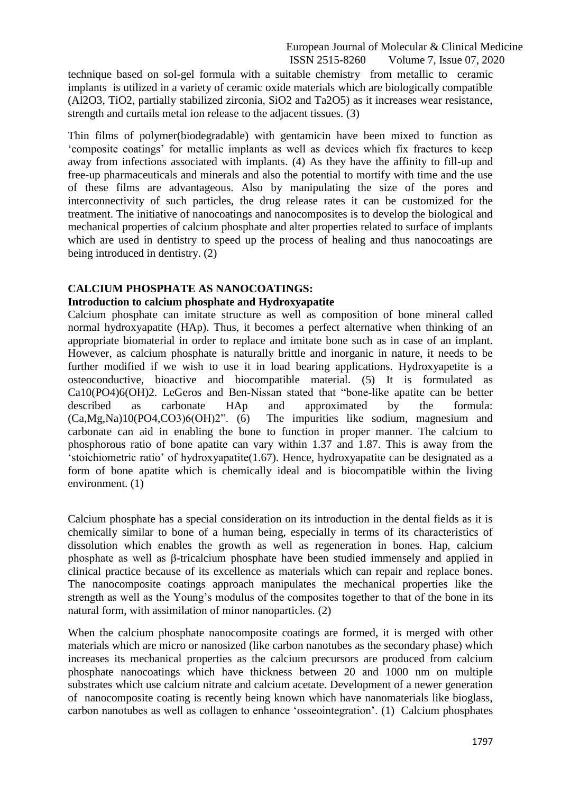technique based on sol-gel formula with a suitable chemistry from metallic to ceramic implants is utilized in a variety of ceramic oxide materials which are biologically compatible (Al2O3, TiO2, partially stabilized zirconia, SiO2 and Ta2O5) as it increases wear resistance, strength and curtails metal ion release to the adjacent tissues. (3)

Thin films of polymer(biodegradable) with gentamicin have been mixed to function as ‗composite coatings' for metallic implants as well as devices which fix fractures to keep away from infections associated with implants. (4) As they have the affinity to fill-up and free-up pharmaceuticals and minerals and also the potential to mortify with time and the use of these films are advantageous. Also by manipulating the size of the pores and interconnectivity of such particles, the drug release rates it can be customized for the treatment. The initiative of nanocoatings and nanocomposites is to develop the biological and mechanical properties of calcium phosphate and alter properties related to surface of implants which are used in dentistry to speed up the process of healing and thus nanocoatings are being introduced in dentistry. (2)

#### **CALCIUM PHOSPHATE AS NANOCOATINGS:**

#### **Introduction to calcium phosphate and Hydroxyapatite**

Calcium phosphate can imitate structure as well as composition of bone mineral called normal hydroxyapatite (HAp). Thus, it becomes a perfect alternative when thinking of an appropriate biomaterial in order to replace and imitate bone such as in case of an implant. However, as calcium phosphate is naturally brittle and inorganic in nature, it needs to be further modified if we wish to use it in load bearing applications. Hydroxyapetite is a osteoconductive, bioactive and biocompatible material. (5) It is formulated as  $Ca10(PO4)6(OH)2$ . LeGeros and Ben-Nissan stated that "bone-like apatite can be better described as carbonate HAp and approximated by the formula:  $(Ca, Mg, Na)10(PO4, CO3)6(OH)2$ . (6) The impurities like sodium, magnesium and carbonate can aid in enabling the bone to function in proper manner. The calcium to phosphorous ratio of bone apatite can vary within 1.37 and 1.87. This is away from the  $\gamma$  stoichiometric ratio' of hydroxyapatite(1.67). Hence, hydroxyapatite can be designated as a form of bone apatite which is chemically ideal and is biocompatible within the living environment. (1)

Calcium phosphate has a special consideration on its introduction in the dental fields as it is chemically similar to bone of a human being, especially in terms of its characteristics of dissolution which enables the growth as well as regeneration in bones. Hap, calcium phosphate as well as β-tricalcium phosphate have been studied immensely and applied in clinical practice because of its excellence as materials which can repair and replace bones. The nanocomposite coatings approach manipulates the mechanical properties like the strength as well as the Young's modulus of the composites together to that of the bone in its natural form, with assimilation of minor nanoparticles. (2)

When the calcium phosphate nanocomposite coatings are formed, it is merged with other materials which are micro or nanosized (like carbon nanotubes as the secondary phase) which increases its mechanical properties as the calcium precursors are produced from calcium phosphate nanocoatings which have thickness between 20 and 1000 nm on multiple substrates which use calcium nitrate and calcium acetate. Development of a newer generation of nanocomposite coating is recently being known which have nanomaterials like bioglass, carbon nanotubes as well as collagen to enhance 'osseointegration'. (1) Calcium phosphates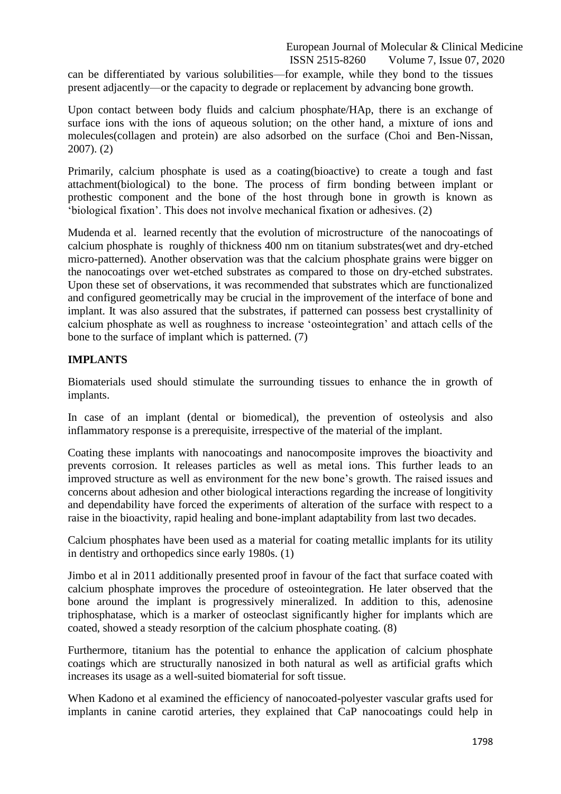can be differentiated by various solubilities—for example, while they bond to the tissues present adjacently—or the capacity to degrade or replacement by advancing bone growth.

Upon contact between body fluids and calcium phosphate/HAp, there is an exchange of surface ions with the ions of aqueous solution; on the other hand, a mixture of ions and molecules(collagen and protein) are also adsorbed on the surface (Choi and Ben-Nissan, 2007). (2)

Primarily, calcium phosphate is used as a coating(bioactive) to create a tough and fast attachment(biological) to the bone. The process of firm bonding between implant or prothestic component and the bone of the host through bone in growth is known as ‗biological fixation'. This does not involve mechanical fixation or adhesives. (2)

Mudenda et al. learned recently that the evolution of microstructure of the nanocoatings of calcium phosphate is roughly of thickness 400 nm on titanium substrates(wet and dry-etched micro-patterned). Another observation was that the calcium phosphate grains were bigger on the nanocoatings over wet-etched substrates as compared to those on dry-etched substrates. Upon these set of observations, it was recommended that substrates which are functionalized and configured geometrically may be crucial in the improvement of the interface of bone and implant. It was also assured that the substrates, if patterned can possess best crystallinity of calcium phosphate as well as roughness to increase ‗osteointegration' and attach cells of the bone to the surface of implant which is patterned. (7)

# **IMPLANTS**

Biomaterials used should stimulate the surrounding tissues to enhance the in growth of implants.

In case of an implant (dental or biomedical), the prevention of osteolysis and also inflammatory response is a prerequisite, irrespective of the material of the implant.

Coating these implants with nanocoatings and nanocomposite improves the bioactivity and prevents corrosion. It releases particles as well as metal ions. This further leads to an improved structure as well as environment for the new bone's growth. The raised issues and concerns about adhesion and other biological interactions regarding the increase of longitivity and dependability have forced the experiments of alteration of the surface with respect to a raise in the bioactivity, rapid healing and bone-implant adaptability from last two decades.

Calcium phosphates have been used as a material for coating metallic implants for its utility in dentistry and orthopedics since early 1980s. (1)

Jimbo et al in 2011 additionally presented proof in favour of the fact that surface coated with calcium phosphate improves the procedure of osteointegration. He later observed that the bone around the implant is progressively mineralized. In addition to this, adenosine triphosphatase, which is a marker of osteoclast significantly higher for implants which are coated, showed a steady resorption of the calcium phosphate coating. (8)

Furthermore, titanium has the potential to enhance the application of calcium phosphate coatings which are structurally nanosized in both natural as well as artificial grafts which increases its usage as a well-suited biomaterial for soft tissue.

When Kadono et al examined the efficiency of nanocoated-polyester vascular grafts used for implants in canine carotid arteries, they explained that CaP nanocoatings could help in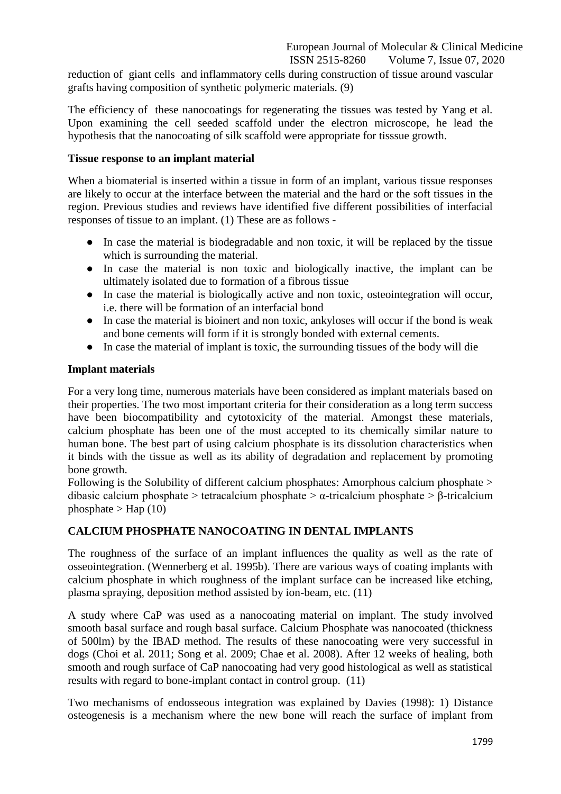reduction of giant cells and inflammatory cells during construction of tissue around vascular grafts having composition of synthetic polymeric materials. (9)

The efficiency of these nanocoatings for regenerating the tissues was tested by Yang et al. Upon examining the cell seeded scaffold under the electron microscope, he lead the hypothesis that the nanocoating of silk scaffold were appropriate for tisssue growth.

# **Tissue response to an implant material**

When a biomaterial is inserted within a tissue in form of an implant, various tissue responses are likely to occur at the interface between the material and the hard or the soft tissues in the region. Previous studies and reviews have identified five different possibilities of interfacial responses of tissue to an implant. (1) These are as follows -

- In case the material is biodegradable and non toxic, it will be replaced by the tissue which is surrounding the material.
- In case the material is non toxic and biologically inactive, the implant can be ultimately isolated due to formation of a fibrous tissue
- In case the material is biologically active and non toxic, osteointegration will occur, i.e. there will be formation of an interfacial bond
- In case the material is bioinert and non toxic, ankyloses will occur if the bond is weak and bone cements will form if it is strongly bonded with external cements.
- In case the material of implant is toxic, the surrounding tissues of the body will die

# **Implant materials**

For a very long time, numerous materials have been considered as implant materials based on their properties. The two most important criteria for their consideration as a long term success have been biocompatibility and cytotoxicity of the material. Amongst these materials, calcium phosphate has been one of the most accepted to its chemically similar nature to human bone. The best part of using calcium phosphate is its dissolution characteristics when it binds with the tissue as well as its ability of degradation and replacement by promoting bone growth.

Following is the Solubility of different calcium phosphates: Amorphous calcium phosphate > dibasic calcium phosphate > tetracalcium phosphate > α-tricalcium phosphate > β-tricalcium phosphate  $>$  Hap (10)

# **CALCIUM PHOSPHATE NANOCOATING IN DENTAL IMPLANTS**

The roughness of the surface of an implant influences the quality as well as the rate of osseointegration. (Wennerberg et al. 1995b). There are various ways of coating implants with calcium phosphate in which roughness of the implant surface can be increased like etching, plasma spraying, deposition method assisted by ion-beam, etc. (11)

A study where CaP was used as a nanocoating material on implant. The study involved smooth basal surface and rough basal surface. Calcium Phosphate was nanocoated (thickness of 500lm) by the IBAD method. The results of these nanocoating were very successful in dogs (Choi et al. 2011; Song et al. 2009; Chae et al. 2008). After 12 weeks of healing, both smooth and rough surface of CaP nanocoating had very good histological as well as statistical results with regard to bone-implant contact in control group. (11)

Two mechanisms of endosseous integration was explained by Davies (1998): 1) Distance osteogenesis is a mechanism where the new bone will reach the surface of implant from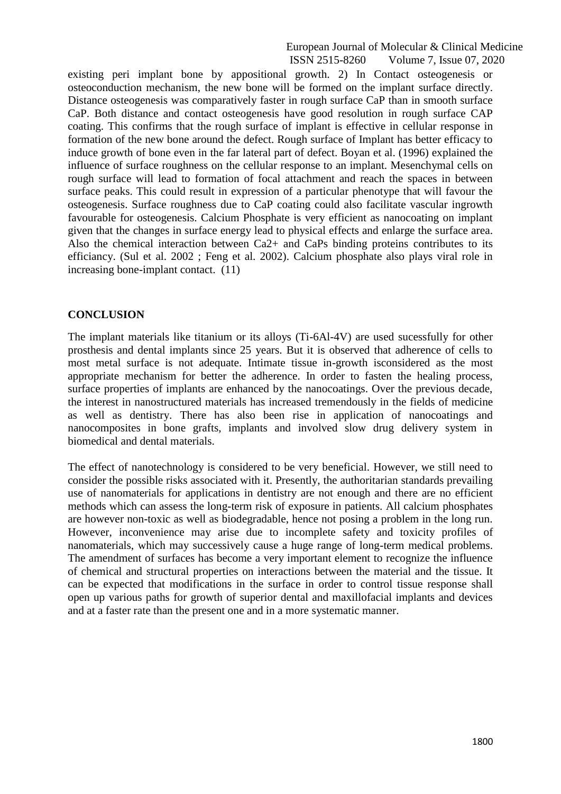existing peri implant bone by appositional growth. 2) In Contact osteogenesis or osteoconduction mechanism, the new bone will be formed on the implant surface directly. Distance osteogenesis was comparatively faster in rough surface CaP than in smooth surface CaP. Both distance and contact osteogenesis have good resolution in rough surface CAP coating. This confirms that the rough surface of implant is effective in cellular response in formation of the new bone around the defect. Rough surface of Implant has better efficacy to induce growth of bone even in the far lateral part of defect. Boyan et al. (1996) explained the influence of surface roughness on the cellular response to an implant. Mesenchymal cells on rough surface will lead to formation of focal attachment and reach the spaces in between surface peaks. This could result in expression of a particular phenotype that will favour the osteogenesis. Surface roughness due to CaP coating could also facilitate vascular ingrowth favourable for osteogenesis. Calcium Phosphate is very efficient as nanocoating on implant given that the changes in surface energy lead to physical effects and enlarge the surface area. Also the chemical interaction between Ca2+ and CaPs binding proteins contributes to its efficiancy. (Sul et al. 2002 ; Feng et al. 2002). Calcium phosphate also plays viral role in increasing bone-implant contact. (11)

#### **CONCLUSION**

The implant materials like titanium or its alloys (Ti-6Al-4V) are used sucessfully for other prosthesis and dental implants since 25 years. But it is observed that adherence of cells to most metal surface is not adequate. Intimate tissue in-growth isconsidered as the most appropriate mechanism for better the adherence. In order to fasten the healing process, surface properties of implants are enhanced by the nanocoatings. Over the previous decade, the interest in nanostructured materials has increased tremendously in the fields of medicine as well as dentistry. There has also been rise in application of nanocoatings and nanocomposites in bone grafts, implants and involved slow drug delivery system in biomedical and dental materials.

The effect of nanotechnology is considered to be very beneficial. However, we still need to consider the possible risks associated with it. Presently, the authoritarian standards prevailing use of nanomaterials for applications in dentistry are not enough and there are no efficient methods which can assess the long-term risk of exposure in patients. All calcium phosphates are however non-toxic as well as biodegradable, hence not posing a problem in the long run. However, inconvenience may arise due to incomplete safety and toxicity profiles of nanomaterials, which may successively cause a huge range of long-term medical problems. The amendment of surfaces has become a very important element to recognize the influence of chemical and structural properties on interactions between the material and the tissue. It can be expected that modifications in the surface in order to control tissue response shall open up various paths for growth of superior dental and maxillofacial implants and devices and at a faster rate than the present one and in a more systematic manner.